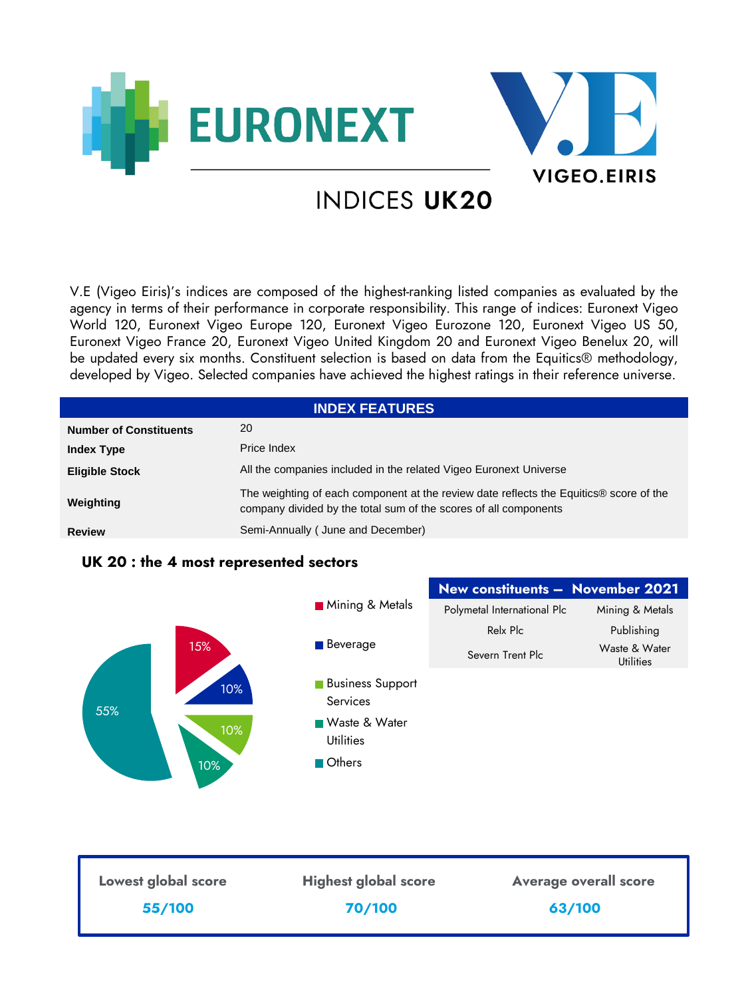



# **INDICES UK20**

V.E (Vigeo Eiris)'s indices are composed of the highest-ranking listed companies as evaluated by the agency in terms of their performance in corporate responsibility. This range of indices: Euronext Vigeo World 120, Euronext Vigeo Europe 120, Euronext Vigeo Eurozone 120, Euronext Vigeo US 50, Euronext Vigeo France 20, Euronext Vigeo United Kingdom 20 and Euronext Vigeo Benelux 20, will be updated every six months. Constituent selection is based on data from the Equitics® methodology, developed by Vigeo. Selected companies have achieved the highest ratings in their reference universe.

| <b>INDEX FEATURES</b>         |                                                                                                                                                            |  |  |
|-------------------------------|------------------------------------------------------------------------------------------------------------------------------------------------------------|--|--|
| <b>Number of Constituents</b> | 20                                                                                                                                                         |  |  |
| <b>Index Type</b>             | Price Index                                                                                                                                                |  |  |
| <b>Eligible Stock</b>         | All the companies included in the related Vigeo Euronext Universe                                                                                          |  |  |
| Weighting                     | The weighting of each component at the review date reflects the Equitics® score of the<br>company divided by the total sum of the scores of all components |  |  |
| <b>Review</b>                 | Semi-Annually (June and December)                                                                                                                          |  |  |

# **UK 20 : the 4 most represented sectors**